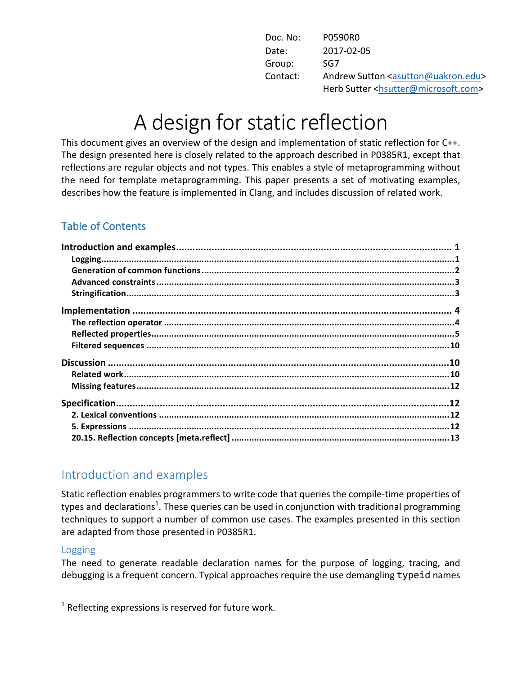| Doc. No: | P0590R0                                                     |
|----------|-------------------------------------------------------------|
| Date:    | 2017-02-05                                                  |
| Group:   | SG7                                                         |
| Contact: | Andrew Sutton <asutton@uakron.edu></asutton@uakron.edu>     |
|          | Herb Sutter <hsutter@microsoft.com></hsutter@microsoft.com> |

# A design for static reflection

This document gives an overview of the design and implementation of static reflection for C++. The design presented here is closely related to the approach described in P0385R1, except that reflections are regular objects and not types. This enables a style of metaprogramming without the need for template metaprogramming. This paper presents a set of motivating examples, describes how the feature is implemented in Clang, and includes discussion of related work.

## Table of Contents

| $\label{eq:logging} \textit{Logging}.\textit{}.\textit{}.\textit{}.\textit{}.\textit{}.\textit{}.\textit{}.\textit{}.\textit{}.\textit{}.\textit{}.\textit{}.\textit{}.\textit{}.\textit{}$ |  |
|---------------------------------------------------------------------------------------------------------------------------------------------------------------------------------------------|--|
|                                                                                                                                                                                             |  |
|                                                                                                                                                                                             |  |
|                                                                                                                                                                                             |  |
|                                                                                                                                                                                             |  |
|                                                                                                                                                                                             |  |
|                                                                                                                                                                                             |  |
|                                                                                                                                                                                             |  |
|                                                                                                                                                                                             |  |
|                                                                                                                                                                                             |  |
|                                                                                                                                                                                             |  |
|                                                                                                                                                                                             |  |
|                                                                                                                                                                                             |  |
|                                                                                                                                                                                             |  |
|                                                                                                                                                                                             |  |

# Introduction and examples

 

Static reflection enables programmers to write code that queries the compile-time properties of types and declarations<sup>1</sup>. These queries can be used in conjunction with traditional programming techniques to support a number of common use cases. The examples presented in this section are adapted from those presented in P0385R1.

#### Logging

The need to generate readable declaration names for the purpose of logging, tracing, and debugging is a frequent concern. Typical approaches require the use demangling typeid names

 $1$  Reflecting expressions is reserved for future work.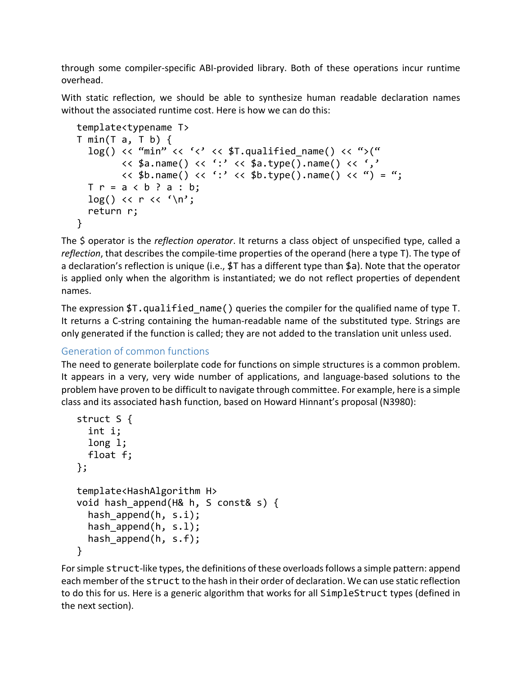through some compiler-specific ABI-provided library. Both of these operations incur runtime overhead.

With static reflection, we should be able to synthesize human readable declaration names without the associated runtime cost. Here is how we can do this:

```
template<typename T>
T min(T a, T b) \{log() << "min" << '<< $T.qualified name() << ">("
                           \langle \langle \sin \theta \rangle \rangle = \langle \sin \theta \rangle = \langle \sin \theta \rangle = \langle \sin \theta \rangle = \langle \sin \theta \rangle = \langle \sin \theta \rangle = \langle \sin \theta \rangle = \langle \sin \theta \rangle = \langle \sin \theta \rangle = \langle \sin \theta \rangle = \langle \sin \theta \rangle = \langle \sin \theta \rangle = \langle \sin \theta \rangle = \langle \sin \theta \rangle = \langle \sin \theta \rangle = \langle \sin \theta \rangle = \langle \sin \theta \rangle\langle \langle \sin \theta \rangle \rangle = "; \langle \sin \theta \rangle = "; \langle \sin \theta \rangle = "; \langle \sin \theta \rangle = "; \langle \sin \theta \rangle = ";
      T r = a < b ? a : b;
      log() \ll r \ll '\n';
       return r;
}
```
The \$ operator is the *reflection operator*. It returns a class object of unspecified type, called a *reflection*, that describes the compile-time properties of the operand (here a type T). The type of a declaration's reflection is unique (i.e.,  $\sharp T$  has a different type than  $\sharp a$ ). Note that the operator is applied only when the algorithm is instantiated; we do not reflect properties of dependent names.

The expression  $T$ .qualified\_name() queries the compiler for the qualified name of type T. It returns a C-string containing the human-readable name of the substituted type. Strings are only generated if the function is called; they are not added to the translation unit unless used.

## Generation of common functions

The need to generate boilerplate code for functions on simple structures is a common problem. It appears in a very, very wide number of applications, and language-based solutions to the problem have proven to be difficult to navigate through committee. For example, here is a simple class and its associated hash function, based on Howard Hinnant's proposal (N3980):

```
struct S {
  int i;
  long l;
  float f;
};
template<HashAlgorithm H>
void hash_append(H& h, S const& s) {
   hash_append(h, s.i);
 hash append(h, s.l);
 hash append(h, s.f);
}
```
For simple struct-like types, the definitions of these overloads follows a simple pattern: append each member of the struct to the hash in their order of declaration. We can use static reflection to do this for us. Here is a generic algorithm that works for all SimpleStruct types (defined in the next section).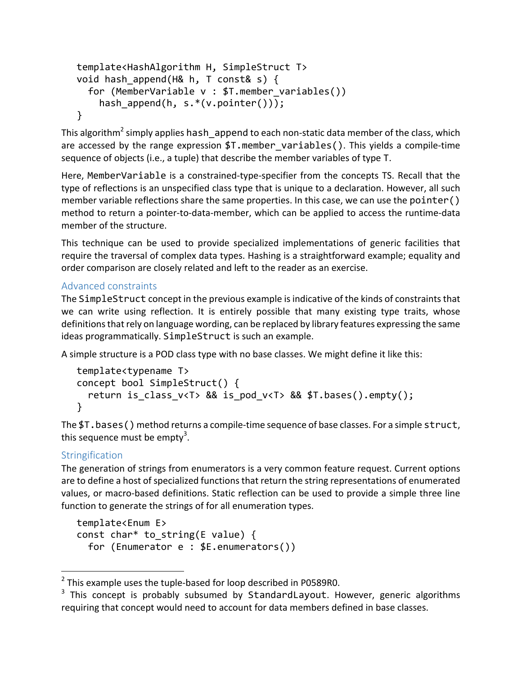```
template<HashAlgorithm H, SimpleStruct T>
void hash append(H& h, T const& s) {
  for (MemberVariable v : $T.member_variables())
     hash_append(h, s.*(v.pointer()));
}
```
This algorithm<sup>2</sup> simply applies hash append to each non-static data member of the class, which are accessed by the range expression  $T$ .member variables(). This yields a compile-time sequence of objects (i.e., a tuple) that describe the member variables of type T.

Here, Member Variable is a constrained-type-specifier from the concepts TS. Recall that the type of reflections is an unspecified class type that is unique to a declaration. However, all such member variable reflections share the same properties. In this case, we can use the pointer () method to return a pointer-to-data-member, which can be applied to access the runtime-data member of the structure.

This technique can be used to provide specialized implementations of generic facilities that require the traversal of complex data types. Hashing is a straightforward example; equality and order comparison are closely related and left to the reader as an exercise.

## Advanced constraints

The SimpleStruct concept in the previous example is indicative of the kinds of constraints that we can write using reflection. It is entirely possible that many existing type traits, whose definitions that rely on language wording, can be replaced by library features expressing the same ideas programmatically. SimpleStruct is such an example.

A simple structure is a POD class type with no base classes. We might define it like this:

```
template<typename T>
concept bool SimpleStruct() {
  return is class v<T> && is pod v<T> && $T.bases().empty();
}
```
The  $I.bases()$  method returns a compile-time sequence of base classes. For a simple struct, this sequence must be empty $^3.$ 

## **Stringification**

 

The generation of strings from enumerators is a very common feature request. Current options are to define a host of specialized functions that return the string representations of enumerated values, or macro-based definitions. Static reflection can be used to provide a simple three line function to generate the strings of for all enumeration types.

```
template<Enum E>
const char* to_string(E value) {
   for (Enumerator e : $E.enumerators())
```
 $2$  This example uses the tuple-based for loop described in P0589R0.

 $3$  This concept is probably subsumed by StandardLayout. However, generic algorithms requiring that concept would need to account for data members defined in base classes.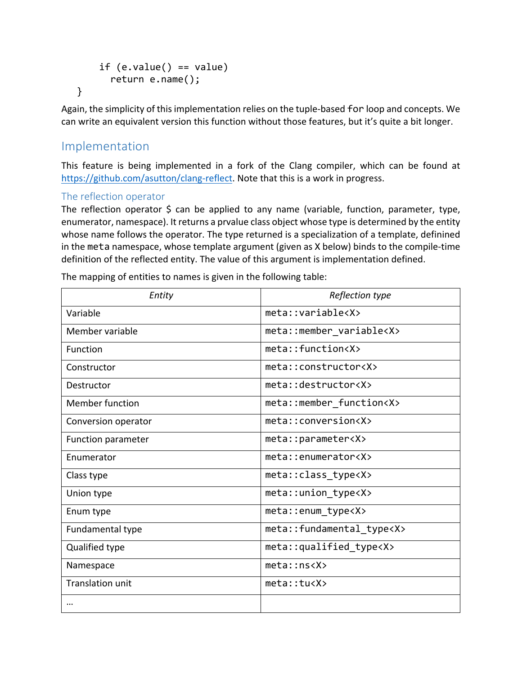```
if (e.value() == value) return e.name();
}
```
Again, the simplicity of this implementation relies on the tuple-based for loop and concepts. We can write an equivalent version this function without those features, but it's quite a bit longer.

# Implementation

This feature is being implemented in a fork of the Clang compiler, which can be found at https://github.com/asutton/clang-reflect. Note that this is a work in progress.

#### The reflection operator

The reflection operator  $\Diamond$  can be applied to any name (variable, function, parameter, type, enumerator, namespace). It returns a prvalue class object whose type is determined by the entity whose name follows the operator. The type returned is a specialization of a template, definined in the meta namespace, whose template argument (given as X below) binds to the compile-time definition of the reflected entity. The value of this argument is implementation defined.

| Entity                    | Reflection type                |  |
|---------------------------|--------------------------------|--|
| Variable                  | meta::variable <x></x>         |  |
| Member variable           | meta::member_variable <x></x>  |  |
| Function                  | meta::function <x></x>         |  |
| Constructor               | meta::constructor <x></x>      |  |
| Destructor                | meta::destructor <x></x>       |  |
| <b>Member function</b>    | meta::member_function <x></x>  |  |
| Conversion operator       | meta::conversion <x></x>       |  |
| <b>Function parameter</b> | meta::parameter <x></x>        |  |
| Enumerator                | meta::enumerator <x></x>       |  |
| Class type                | meta::class_type <x></x>       |  |
| Union type                | meta::union_type <x></x>       |  |
| Enum type                 | meta::enum_type <x></x>        |  |
| Fundamental type          | meta::fundamental type <x></x> |  |
| Qualified type            | meta::qualified_type <x></x>   |  |
| Namespace                 | meta::ns <x></x>               |  |
| <b>Translation unit</b>   | meta: tucX>                    |  |
| $\cdots$                  |                                |  |

The mapping of entities to names is given in the following table: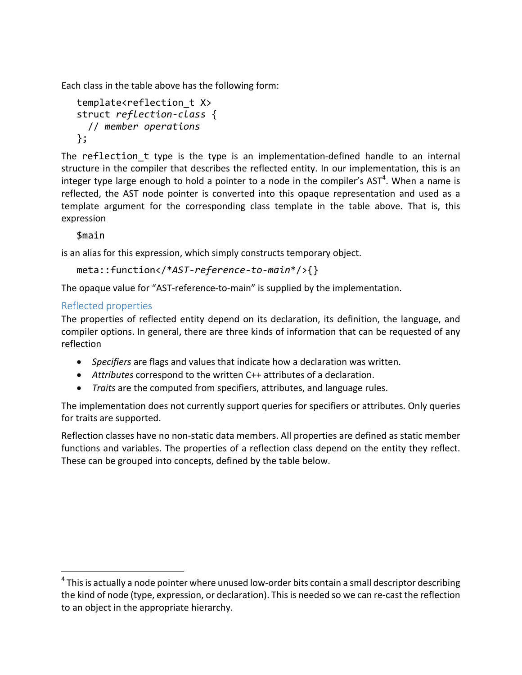Each class in the table above has the following form:

```
template<reflection t X>
struct reflection-class {
   // member operations
};
```
The reflection t type is the type is an implementation-defined handle to an internal structure in the compiler that describes the reflected entity. In our implementation, this is an integer type large enough to hold a pointer to a node in the compiler's AST<sup>4</sup>. When a name is reflected, the AST node pointer is converted into this opaque representation and used as a template argument for the corresponding class template in the table above. That is, this expression

\$main

is an alias for this expression, which simply constructs temporary object.

```
meta::function</*AST-reference-to-main*/>{}
```
The opaque value for "AST-reference-to-main" is supplied by the implementation.

#### Reflected properties

 

The properties of reflected entity depend on its declaration, its definition, the language, and compiler options. In general, there are three kinds of information that can be requested of any reflection

- *Specifiers* are flags and values that indicate how a declaration was written.
- Attributes correspond to the written C++ attributes of a declaration.
- *Traits* are the computed from specifiers, attributes, and language rules.

The implementation does not currently support queries for specifiers or attributes. Only queries for traits are supported.

Reflection classes have no non-static data members. All properties are defined as static member functions and variables. The properties of a reflection class depend on the entity they reflect. These can be grouped into concepts, defined by the table below.

 $4$  This is actually a node pointer where unused low-order bits contain a small descriptor describing the kind of node (type, expression, or declaration). This is needed so we can re-cast the reflection to an object in the appropriate hierarchy.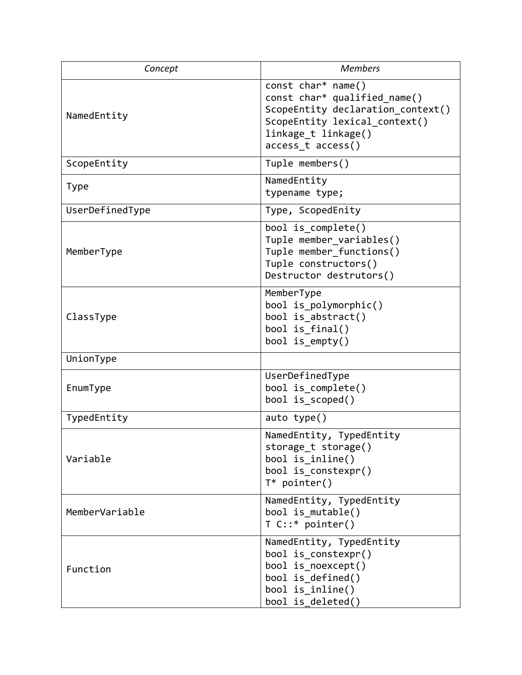| Concept         | <b>Members</b>                                                                                                                                                       |
|-----------------|----------------------------------------------------------------------------------------------------------------------------------------------------------------------|
| NamedEntity     | const char* name()<br>const char* qualified name()<br>ScopeEntity declaration context()<br>ScopeEntity lexical context()<br>linkage t linkage()<br>access_t access() |
| ScopeEntity     | Tuple members()                                                                                                                                                      |
| <b>Type</b>     | NamedEntity<br>typename type;                                                                                                                                        |
| UserDefinedType | Type, ScopedEnity                                                                                                                                                    |
| MemberType      | bool is complete()<br>Tuple member variables()<br>Tuple member functions()<br>Tuple constructors()<br>Destructor destrutors()                                        |
| ClassType       | MemberType<br>bool is_polymorphic()<br>bool is abstract()<br>bool is final()<br>bool is $empty()$                                                                    |
| UnionType       |                                                                                                                                                                      |
| EnumType        | UserDefinedType<br>bool is complete()<br>bool is_scoped()                                                                                                            |
| TypedEntity     | auto $type()$                                                                                                                                                        |
| Variable        | NamedEntity, TypedEntity<br>storage t storage()<br>bool is inline()<br>bool is constexpr()<br>$T^*$ pointer()                                                        |
| MemberVariable  | NamedEntity, TypedEntity<br>bool is mutable()<br>$T C::* pointer()$                                                                                                  |
| Function        | NamedEntity, TypedEntity<br>bool is constexpr()<br>bool is noexcept()<br>bool is defined()<br>bool is inline()<br>bool is_deleted()                                  |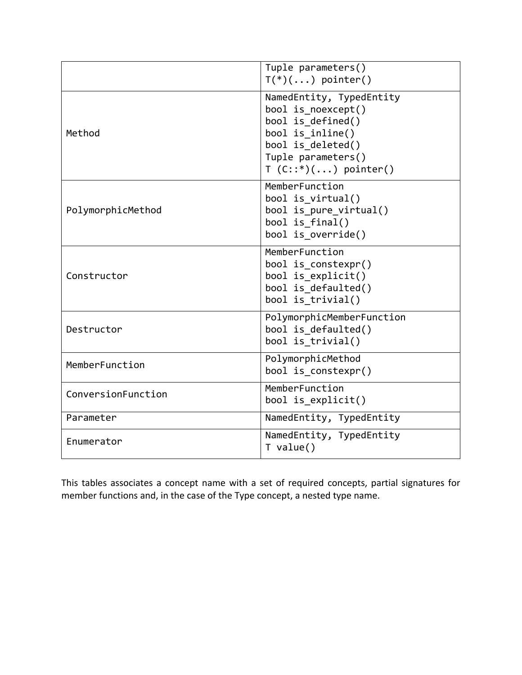|                    | Tuple parameters()<br>$T(*)$ $()$ pointer()                                                                                                                  |
|--------------------|--------------------------------------------------------------------------------------------------------------------------------------------------------------|
| Method             | NamedEntity, TypedEntity<br>bool is noexcept()<br>bool is defined()<br>bool is_inline()<br>bool is deleted()<br>Tuple parameters()<br>$T(C::*)$ () pointer() |
| PolymorphicMethod  | MemberFunction<br>bool is virtual()<br>bool is pure virtual()<br>bool is final()<br>bool is override()                                                       |
| Constructor        | MemberFunction<br>bool is_constexpr()<br>bool is explicit()<br>bool is defaulted()<br>bool is trivial()                                                      |
| Destructor         | PolymorphicMemberFunction<br>bool is defaulted()<br>bool is trivial()                                                                                        |
| MemberFunction     | PolymorphicMethod<br>bool is constexpr()                                                                                                                     |
| ConversionFunction | MemberFunction<br>bool is explicit()                                                                                                                         |
| Parameter          | NamedEntity, TypedEntity                                                                                                                                     |
| Enumerator         | NamedEntity, TypedEntity<br>$T$ value()                                                                                                                      |

This tables associates a concept name with a set of required concepts, partial signatures for member functions and, in the case of the Type concept, a nested type name.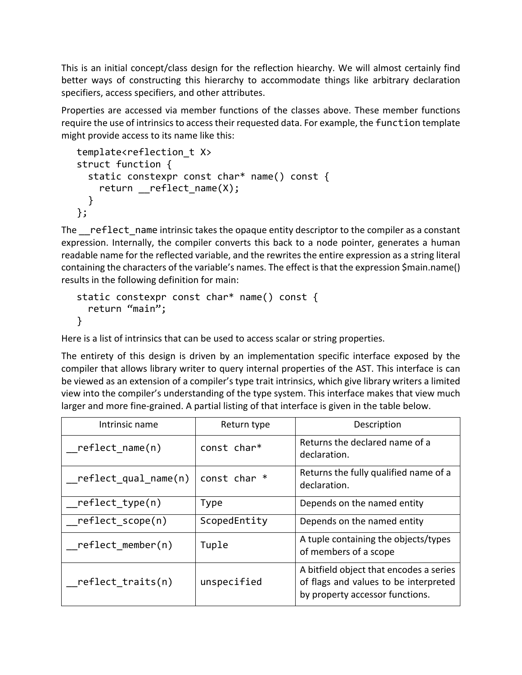This is an initial concept/class design for the reflection hiearchy. We will almost certainly find better ways of constructing this hierarchy to accommodate things like arbitrary declaration specifiers, access specifiers, and other attributes.

Properties are accessed via member functions of the classes above. These member functions require the use of intrinsics to access their requested data. For example, the function template might provide access to its name like this:

```
template<reflection t X>
struct function {
   static constexpr const char* name() const {
    return reflect name(X);
   }
};
```
The reflect name intrinsic takes the opaque entity descriptor to the compiler as a constant expression. Internally, the compiler converts this back to a node pointer, generates a human readable name for the reflected variable, and the rewrites the entire expression as a string literal containing the characters of the variable's names. The effect is that the expression \$main.name() results in the following definition for main:

```
static constexpr const char* name() const {
   return "main";
}
```
Here is a list of intrinsics that can be used to access scalar or string properties.

The entirety of this design is driven by an implementation specific interface exposed by the compiler that allows library writer to query internal properties of the AST. This interface is can be viewed as an extension of a compiler's type trait intrinsics, which give library writers a limited view into the compiler's understanding of the type system. This interface makes that view much larger and more fine-grained. A partial listing of that interface is given in the table below.

| Intrinsic name       | Return type  | Description                                                                                                         |
|----------------------|--------------|---------------------------------------------------------------------------------------------------------------------|
| reflect name(n)      | const char*  | Returns the declared name of a<br>declaration.                                                                      |
| reflect_qual_name(n) | const char * | Returns the fully qualified name of a<br>declaration.                                                               |
| reflect type(n)      | <b>Type</b>  | Depends on the named entity                                                                                         |
| reflect scope(n)     | ScopedEntity | Depends on the named entity                                                                                         |
| $reflect$ member(n)  | Tuple        | A tuple containing the objects/types<br>of members of a scope                                                       |
| reflect traits(n)    | unspecified  | A bitfield object that encodes a series<br>of flags and values to be interpreted<br>by property accessor functions. |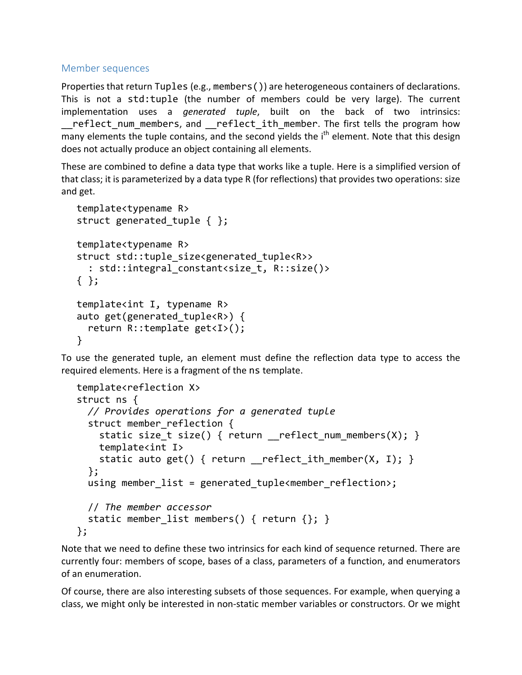#### Member sequences

Properties that return Tuples (e.g., members()) are heterogeneous containers of declarations. This is not a std:tuple (the number of members could be very large). The current implementation uses a *generated tuple*, built on the back of two intrinsics: reflect num members, and reflect ith member. The first tells the program how many elements the tuple contains, and the second yields the  $i<sup>th</sup>$  element. Note that this design does not actually produce an object containing all elements.

These are combined to define a data type that works like a tuple. Here is a simplified version of that class; it is parameterized by a data type R (for reflections) that provides two operations: size and get.

```
template<typename R>
struct generated tuple \{ \};
template<typename R>
struct std::tuple size<generated tuple<R>>
  : std::integral constant<size t, R::size()>
{ };
template<int I, typename R>
auto get(generated tuple<R>) {
   return R::template get<I>();
}
```
To use the generated tuple, an element must define the reflection data type to access the required elements. Here is a fragment of the ns template.

```
template<reflection X>
struct ns {
  // Provides operations for a generated tuple
  struct member reflection {
    static size_t size() { return __reflect num members(X); }
     template<int I>
    static auto get() { return __reflect_ith_member(X, I); }
   };
  using member list = generated tuple<member reflection>;
   // The member accessor
  static member list members() { return \{\}; }
};
```
Note that we need to define these two intrinsics for each kind of sequence returned. There are currently four: members of scope, bases of a class, parameters of a function, and enumerators of an enumeration.

Of course, there are also interesting subsets of those sequences. For example, when querying a class, we might only be interested in non-static member variables or constructors. Or we might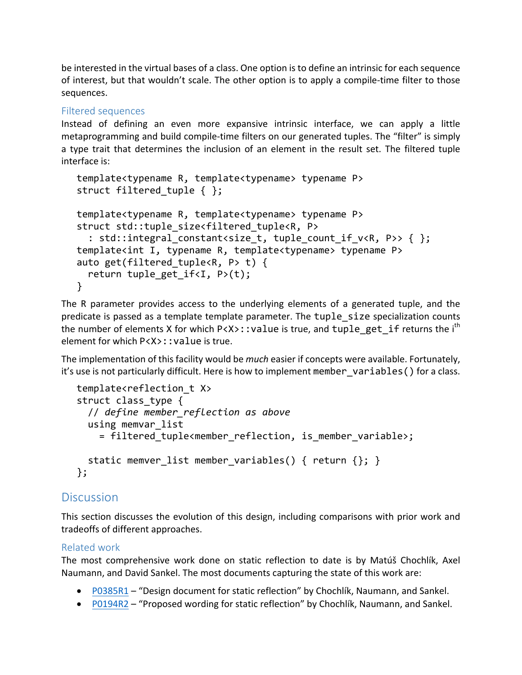be interested in the virtual bases of a class. One option is to define an intrinsic for each sequence of interest, but that wouldn't scale. The other option is to apply a compile-time filter to those sequences. 

#### Filtered sequences

Instead of defining an even more expansive intrinsic interface, we can apply a little metaprogramming and build compile-time filters on our generated tuples. The "filter" is simply a type trait that determines the inclusion of an element in the result set. The filtered tuple interface is:

```
template<typename R, template<typename> typename P>
struct filtered tuple { };
template<typename R, template<typename> typename P>
struct std::tuple size<filtered tuple<R, P>
  : std::integral constant<size t, tuple count if v<R, P>> { };
template<int I, typename R, template<typename> typename P>
auto get(filtered tuple<R, P> t) {
  return tuple get if < I, P>(t);
}
```
The R parameter provides access to the underlying elements of a generated tuple, and the predicate is passed as a template template parameter. The tuple size specialization counts the number of elements X for which  $P(X)$ : : value is true, and tuple get if returns the i<sup>th</sup> element for which  $P\langle X\rangle$ : : value is true.

The implementation of this facility would be *much* easier if concepts were available. Fortunately, it's use is not particularly difficult. Here is how to implement member variables() for a class.

```
template<reflection t X>
struct class_type {
   // define member_reflection as above
   using memvar_list
    = filtered tuple<member reflection, is member variable>;
  static memver list member variables() { return \{\}; }
};
```
## **Discussion**

This section discusses the evolution of this design, including comparisons with prior work and tradeoffs of different approaches.

#### Related work

The most comprehensive work done on static reflection to date is by Matúš Chochlík, Axel Naumann, and David Sankel. The most documents capturing the state of this work are:

- P0385R1 "Design document for static reflection" by Chochlík, Naumann, and Sankel.
- P0194R2 "Proposed wording for static reflection" by Chochlik, Naumann, and Sankel.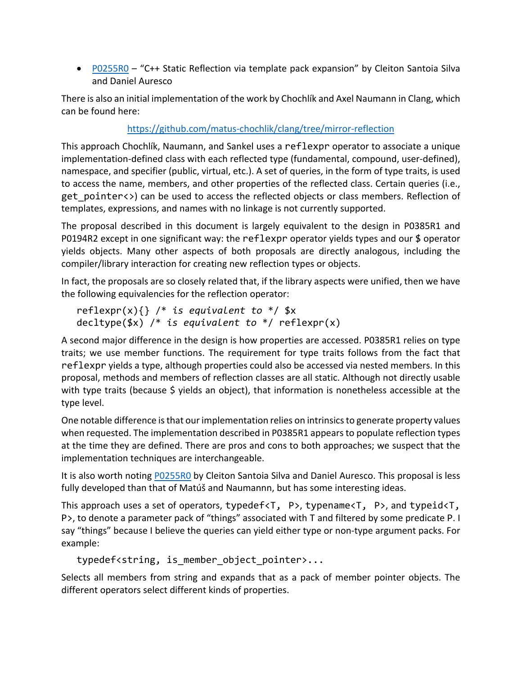• P0255R0 – "C++ Static Reflection via template pack expansion" by Cleiton Santoia Silva and Daniel Auresco

There is also an initial implementation of the work by Chochlík and Axel Naumann in Clang, which can be found here: 

## https://github.com/matus-chochlik/clang/tree/mirror-reflection

This approach Chochlík, Naumann, and Sankel uses a reflexpr operator to associate a unique implementation-defined class with each reflected type (fundamental, compound, user-defined), namespace, and specifier (public, virtual, etc.). A set of queries, in the form of type traits, is used to access the name, members, and other properties of the reflected class. Certain queries (i.e., get pointer<>) can be used to access the reflected objects or class members. Reflection of templates, expressions, and names with no linkage is not currently supported.

The proposal described in this document is largely equivalent to the design in P0385R1 and P0194R2 except in one significant way: the reflexpr operator yields types and our  $$$  operator yields objects. Many other aspects of both proposals are directly analogous, including the compiler/library interaction for creating new reflection types or objects.

In fact, the proposals are so closely related that, if the library aspects were unified, then we have the following equivalencies for the reflection operator:

```
reflexpr(x){} /* is equivalent to */ $x
decltype($x) /* is equivalent to */ reflexpr(x)
```
A second major difference in the design is how properties are accessed. P0385R1 relies on type traits; we use member functions. The requirement for type traits follows from the fact that reflexpr yields a type, although properties could also be accessed via nested members. In this proposal, methods and members of reflection classes are all static. Although not directly usable with type traits (because  $\zeta$  yields an object), that information is nonetheless accessible at the type level.

One notable difference is that our implementation relies on intrinsics to generate property values when requested. The implementation described in P0385R1 appears to populate reflection types at the time they are defined. There are pros and cons to both approaches; we suspect that the implementation techniques are interchangeable.

It is also worth noting P0255R0 by Cleiton Santoia Silva and Daniel Auresco. This proposal is less fully developed than that of Matúš and Naumannn, but has some interesting ideas.

This approach uses a set of operators, typedef<T, P>, typename<T, P>, and typeid<T, P>, to denote a parameter pack of "things" associated with T and filtered by some predicate P. I say "things" because I believe the queries can yield either type or non-type argument packs. For example:

```
typedef<string, is member object pointer>...
```
Selects all members from string and expands that as a pack of member pointer objects. The different operators select different kinds of properties.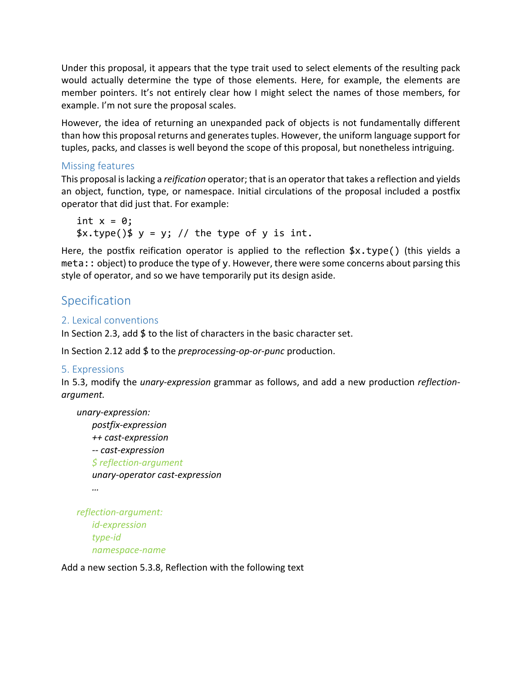Under this proposal, it appears that the type trait used to select elements of the resulting pack would actually determine the type of those elements. Here, for example, the elements are member pointers. It's not entirely clear how I might select the names of those members, for example. I'm not sure the proposal scales.

However, the idea of returning an unexpanded pack of objects is not fundamentally different than how this proposal returns and generates tuples. However, the uniform language support for tuples, packs, and classes is well beyond the scope of this proposal, but nonetheless intriguing.

#### Missing features

This proposal is lacking a *reification* operator; that is an operator that takes a reflection and yields an object, function, type, or namespace. Initial circulations of the proposal included a postfix operator that did just that. For example:

int  $x = 0$ ;  $\frac{1}{2}x.\text{type}$   $\frac{1}{2}y = y;$  // the type of y is int.

Here, the postfix reification operator is applied to the reflection  $x.type()$  (this yields a  $meta: : object)$  to produce the type of y. However, there were some concerns about parsing this style of operator, and so we have temporarily put its design aside.

## Specification

## 2. Lexical conventions

In Section 2.3, add  $$$  to the list of characters in the basic character set.

In Section 2.12 add \$ to the *preprocessing-op-or-punc* production.

#### 5. Expressions

In 5.3, modify the *unary-expression* grammar as follows, and add a new production *reflectionargument.*

*unary-expression: postfix-expression ++ cast-expression -- cast-expression \$ reflection-argument unary-operator cast-expression …* 

*reflection-argument: id-expression type-id namespace-name*

Add a new section 5.3.8, Reflection with the following text